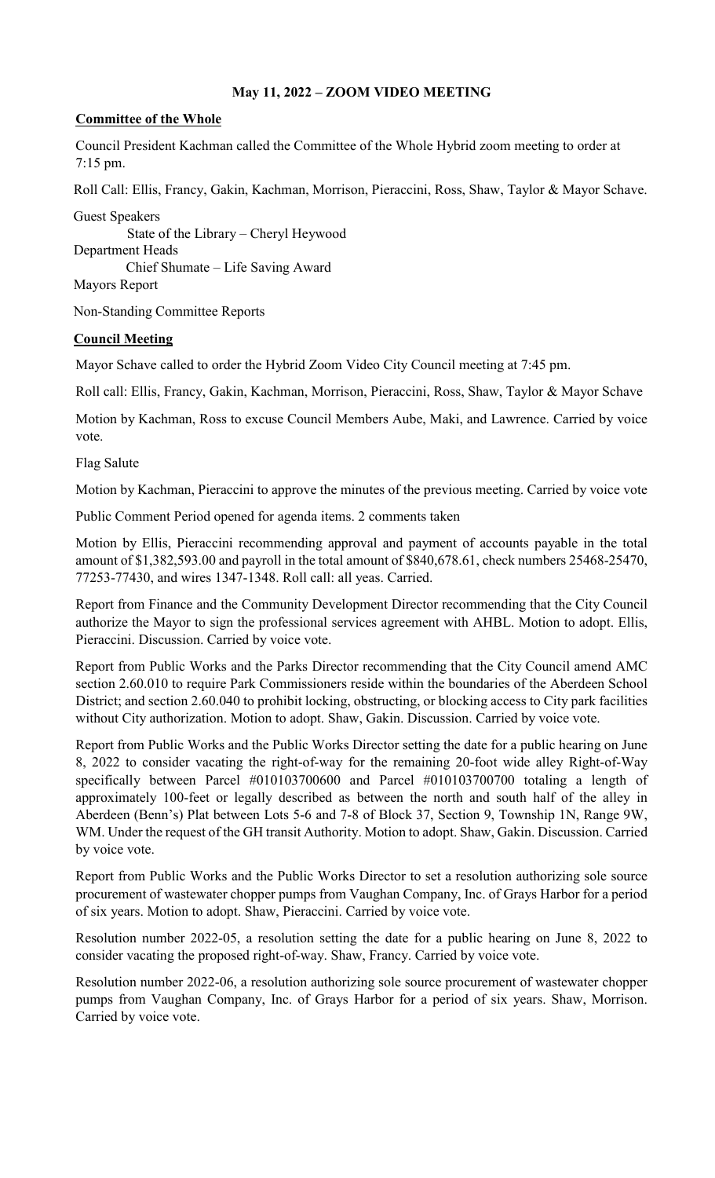## **May 11, 2022 – ZOOM VIDEO MEETING**

## **Committee of the Whole**

Council President Kachman called the Committee of the Whole Hybrid zoom meeting to order at 7:15 pm.

Roll Call: Ellis, Francy, Gakin, Kachman, Morrison, Pieraccini, Ross, Shaw, Taylor & Mayor Schave.

Guest Speakers State of the Library – Cheryl Heywood Department Heads Chief Shumate – Life Saving Award Mayors Report

Non-Standing Committee Reports

## **Council Meeting**

Mayor Schave called to order the Hybrid Zoom Video City Council meeting at 7:45 pm.

Roll call: Ellis, Francy, Gakin, Kachman, Morrison, Pieraccini, Ross, Shaw, Taylor & Mayor Schave

Motion by Kachman, Ross to excuse Council Members Aube, Maki, and Lawrence. Carried by voice vote.

Flag Salute

Motion by Kachman, Pieraccini to approve the minutes of the previous meeting. Carried by voice vote

Public Comment Period opened for agenda items. 2 comments taken

Motion by Ellis, Pieraccini recommending approval and payment of accounts payable in the total amount of \$1,382,593.00 and payroll in the total amount of \$840,678.61, check numbers 25468-25470, 77253-77430, and wires 1347-1348. Roll call: all yeas. Carried.

Report from Finance and the Community Development Director recommending that the City Council authorize the Mayor to sign the professional services agreement with AHBL. Motion to adopt. Ellis, Pieraccini. Discussion. Carried by voice vote.

Report from Public Works and the Parks Director recommending that the City Council amend AMC section 2.60.010 to require Park Commissioners reside within the boundaries of the Aberdeen School District; and section 2.60.040 to prohibit locking, obstructing, or blocking access to City park facilities without City authorization. Motion to adopt. Shaw, Gakin. Discussion. Carried by voice vote.

Report from Public Works and the Public Works Director setting the date for a public hearing on June 8, 2022 to consider vacating the right-of-way for the remaining 20-foot wide alley Right-of-Way specifically between Parcel #010103700600 and Parcel #010103700700 totaling a length of approximately 100-feet or legally described as between the north and south half of the alley in Aberdeen (Benn's) Plat between Lots 5-6 and 7-8 of Block 37, Section 9, Township 1N, Range 9W, WM. Under the request of the GH transit Authority. Motion to adopt. Shaw, Gakin. Discussion. Carried by voice vote.

Report from Public Works and the Public Works Director to set a resolution authorizing sole source procurement of wastewater chopper pumps from Vaughan Company, Inc. of Grays Harbor for a period of six years. Motion to adopt. Shaw, Pieraccini. Carried by voice vote.

Resolution number 2022-05, a resolution setting the date for a public hearing on June 8, 2022 to consider vacating the proposed right-of-way. Shaw, Francy. Carried by voice vote.

Resolution number 2022-06, a resolution authorizing sole source procurement of wastewater chopper pumps from Vaughan Company, Inc. of Grays Harbor for a period of six years. Shaw, Morrison. Carried by voice vote.